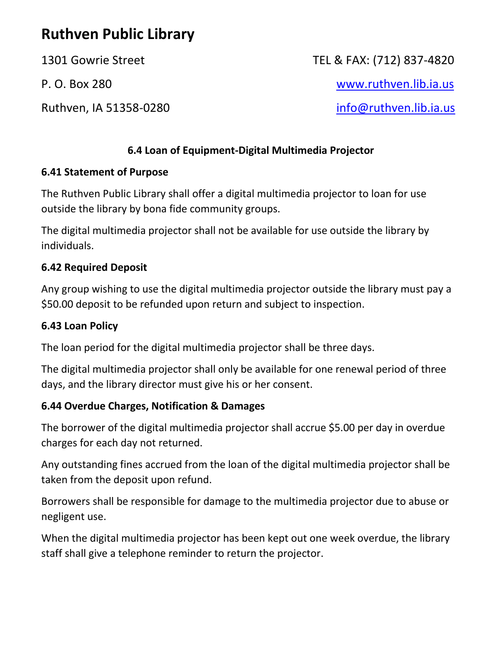# **Ruthven Public Library**

Ruthven, IA 51358-0280 [info@ruthven.lib.ia.us](mailto:info@ruthven.lib.ia.us)

1301 Gowrie Street TEL & FAX: (712) 837-4820

P. O. Box 280 [www.ruthven.lib.ia.us](http://www.ruthven.lib.ia.us/)

# **6.4 Loan of Equipment-Digital Multimedia Projector**

### **6.41 Statement of Purpose**

The Ruthven Public Library shall offer a digital multimedia projector to loan for use outside the library by bona fide community groups.

The digital multimedia projector shall not be available for use outside the library by individuals.

#### **6.42 Required Deposit**

Any group wishing to use the digital multimedia projector outside the library must pay a \$50.00 deposit to be refunded upon return and subject to inspection.

#### **6.43 Loan Policy**

The loan period for the digital multimedia projector shall be three days.

The digital multimedia projector shall only be available for one renewal period of three days, and the library director must give his or her consent.

#### **6.44 Overdue Charges, Notification & Damages**

The borrower of the digital multimedia projector shall accrue \$5.00 per day in overdue charges for each day not returned.

Any outstanding fines accrued from the loan of the digital multimedia projector shall be taken from the deposit upon refund.

Borrowers shall be responsible for damage to the multimedia projector due to abuse or negligent use.

When the digital multimedia projector has been kept out one week overdue, the library staff shall give a telephone reminder to return the projector.